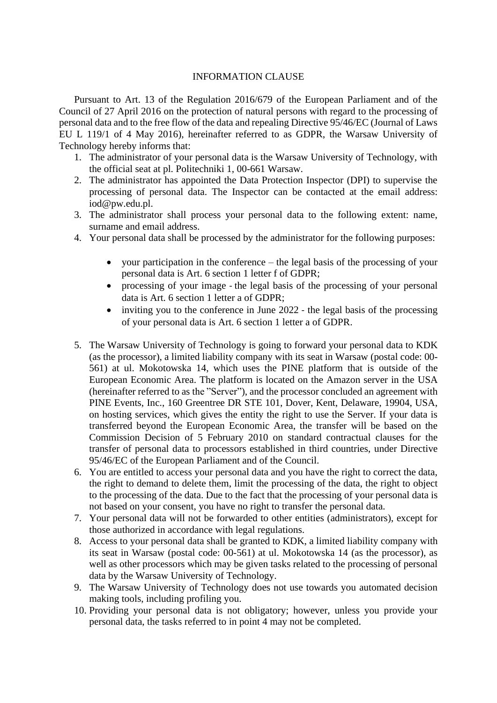## INFORMATION CLAUSE

Pursuant to Art. 13 of the Regulation 2016/679 of the European Parliament and of the Council of 27 April 2016 on the protection of natural persons with regard to the processing of personal data and to the free flow of the data and repealing Directive 95/46/EC (Journal of Laws EU L 119/1 of 4 May 2016), hereinafter referred to as GDPR, the Warsaw University of Technology hereby informs that:

- 1. The administrator of your personal data is the Warsaw University of Technology, with the official seat at pl. Politechniki 1, 00-661 Warsaw.
- 2. The administrator has appointed the Data Protection Inspector (DPI) to supervise the processing of personal data. The Inspector can be contacted at the email address: [iod@pw.edu.pl.](mailto:iod@pw.edu.pl)
- 3. The administrator shall process your personal data to the following extent: name, surname and email address.
- 4. Your personal data shall be processed by the administrator for the following purposes:
	- your participation in the conference the legal basis of the processing of your personal data is Art. 6 section 1 letter f of GDPR;
	- processing of your image the legal basis of the processing of your personal data is Art. 6 section 1 letter a of GDPR;
	- inviting you to the conference in June 2022 the legal basis of the processing of your personal data is Art. 6 section 1 letter a of GDPR.
- 5. The Warsaw University of Technology is going to forward your personal data to KDK (as the processor), a limited liability company with its seat in Warsaw (postal code: 00- 561) at ul. Mokotowska 14, which uses the PINE platform that is outside of the European Economic Area. The platform is located on the Amazon server in the USA (hereinafter referred to as the "Server"), and the processor concluded an agreement with PINE Events, Inc., 160 Greentree DR STE 101, Dover, Kent, Delaware, 19904, USA, on hosting services, which gives the entity the right to use the Server. If your data is transferred beyond the European Economic Area, the transfer will be based on the Commission Decision of 5 February 2010 on standard contractual clauses for the transfer of personal data to processors established in third countries, under Directive 95/46/EC of the European Parliament and of the Council.
- 6. You are entitled to access your personal data and you have the right to correct the data, the right to demand to delete them, limit the processing of the data, the right to object to the processing of the data. Due to the fact that the processing of your personal data is not based on your consent, you have no right to transfer the personal data.
- 7. Your personal data will not be forwarded to other entities (administrators), except for those authorized in accordance with legal regulations.
- 8. Access to your personal data shall be granted to KDK, a limited liability company with its seat in Warsaw (postal code: 00-561) at ul. Mokotowska 14 (as the processor), as well as other processors which may be given tasks related to the processing of personal data by the Warsaw University of Technology.
- 9. The Warsaw University of Technology does not use towards you automated decision making tools, including profiling you.
- 10. Providing your personal data is not obligatory; however, unless you provide your personal data, the tasks referred to in point 4 may not be completed.